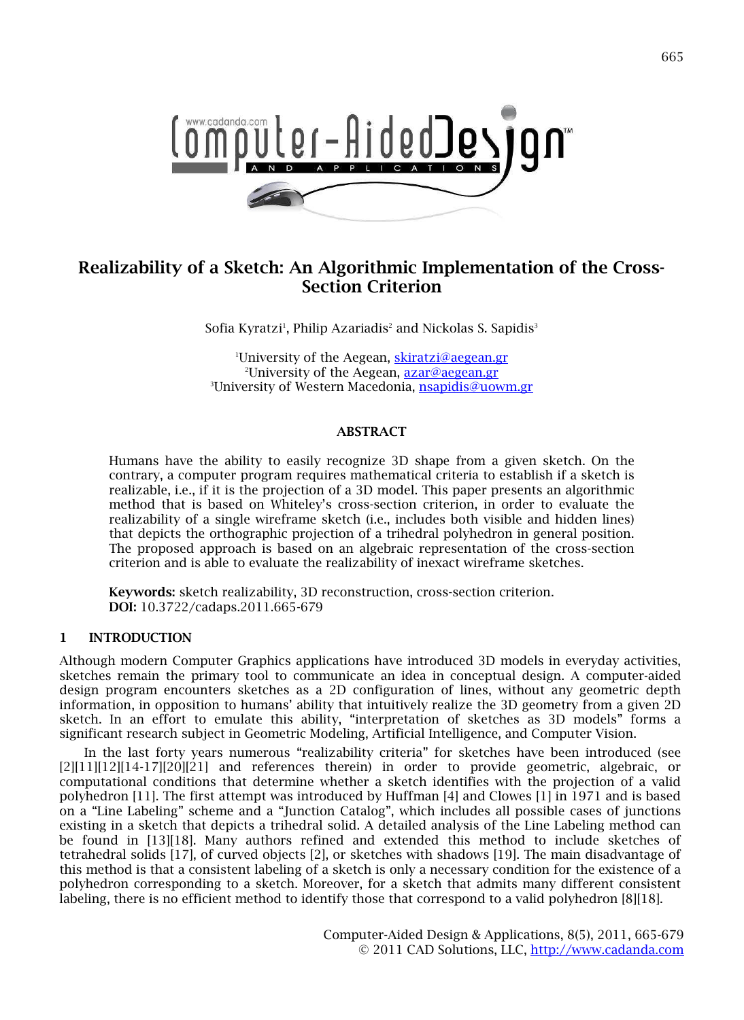

# **Realizability of a Sketch: An Algorithmic Implementation of the Cross-Section Criterion**

Sofia Kyratzi<sup>1</sup>, Philip Azariadis<sup>2</sup> and Nickolas S. Sapidis<sup>3</sup>

<sup>1</sup>University of the Aegean, **skiratzi@aegean.gr** <sup>2</sup>University of the Aegean, azar@aegean.gr <sup>3</sup>University of Western Macedonia, nsapidis@uowm.gr

## **ABSTRACT**

Humans have the ability to easily recognize 3D shape from a given sketch. On the contrary, a computer program requires mathematical criteria to establish if a sketch is realizable, i.e., if it is the projection of a 3D model. This paper presents an algorithmic method that is based on Whiteley's cross-section criterion, in order to evaluate the realizability of a single wireframe sketch (i.e., includes both visible and hidden lines) that depicts the orthographic projection of a trihedral polyhedron in general position. The proposed approach is based on an algebraic representation of the cross-section criterion and is able to evaluate the realizability of inexact wireframe sketches.

**Keywords:** sketch realizability, 3D reconstruction, cross-section criterion. **DOI:** 10.3722/cadaps.2011.665-679

# **1 INTRODUCTION**

Although modern Computer Graphics applications have introduced 3D models in everyday activities, sketches remain the primary tool to communicate an idea in conceptual design. A computer-aided design program encounters sketches as a 2D configuration of lines, without any geometric depth information, in opposition to humans' ability that intuitively realize the 3D geometry from a given 2D sketch. In an effort to emulate this ability, "interpretation of sketches as 3D models" forms a significant research subject in Geometric Modeling, Artificial Intelligence, and Computer Vision.

In the last forty years numerous "realizability criteria" for sketches have been introduced (see [2][11][12][14-17][20][21] and references therein) in order to provide geometric, algebraic, or computational conditions that determine whether a sketch identifies with the projection of a valid polyhedron [11]. The first attempt was introduced by Huffman [4] and Clowes [1] in 1971 and is based on a "Line Labeling" scheme and a "Junction Catalog", which includes all possible cases of junctions existing in a sketch that depicts a trihedral solid. A detailed analysis of the Line Labeling method can be found in [13][18]. Many authors refined and extended this method to include sketches of tetrahedral solids [17], of curved objects [2], or sketches with shadows [19]. The main disadvantage of this method is that a consistent labeling of a sketch is only a necessary condition for the existence of a polyhedron corresponding to a sketch. Moreover, for a sketch that admits many different consistent labeling, there is no efficient method to identify those that correspond to a valid polyhedron [8][18].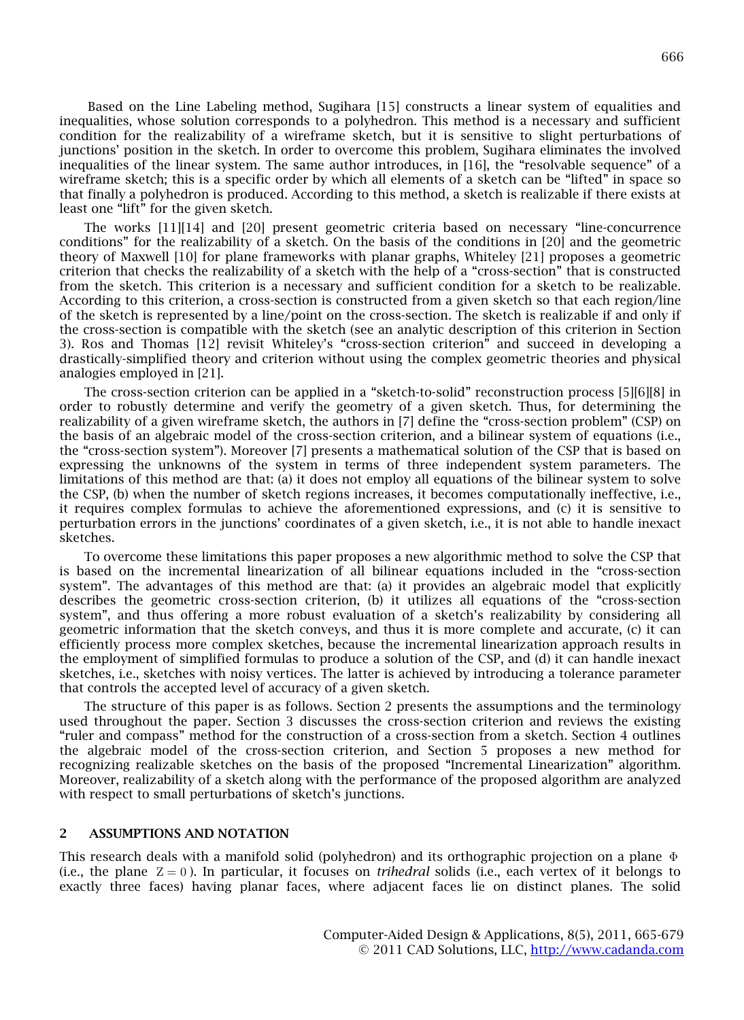Based on the Line Labeling method, Sugihara [15] constructs a linear system of equalities and inequalities, whose solution corresponds to a polyhedron. This method is a necessary and sufficient condition for the realizability of a wireframe sketch, but it is sensitive to slight perturbations of junctions' position in the sketch. In order to overcome this problem, Sugihara eliminates the involved inequalities of the linear system. The same author introduces, in [16], the "resolvable sequence" of a wireframe sketch; this is a specific order by which all elements of a sketch can be "lifted" in space so that finally a polyhedron is produced. According to this method, a sketch is realizable if there exists at least one "lift" for the given sketch.

The works [11][14] and [20] present geometric criteria based on necessary "line-concurrence conditions" for the realizability of a sketch. On the basis of the conditions in [20] and the geometric theory of Maxwell [10] for plane frameworks with planar graphs, Whiteley [21] proposes a geometric criterion that checks the realizability of a sketch with the help of a "cross-section" that is constructed from the sketch. This criterion is a necessary and sufficient condition for a sketch to be realizable. According to this criterion, a cross-section is constructed from a given sketch so that each region/line of the sketch is represented by a line/point on the cross-section. The sketch is realizable if and only if the cross-section is compatible with the sketch (see an analytic description of this criterion in Section 3). Ros and Thomas [12] revisit Whiteley's "cross-section criterion" and succeed in developing a drastically-simplified theory and criterion without using the complex geometric theories and physical analogies employed in [21].

The cross-section criterion can be applied in a "sketch-to-solid" reconstruction process [5][6][8] in order to robustly determine and verify the geometry of a given sketch. Thus, for determining the realizability of a given wireframe sketch, the authors in [7] define the "cross-section problem" (CSP) on the basis of an algebraic model of the cross-section criterion, and a bilinear system of equations (i.e., the "cross-section system"). Moreover [7] presents a mathematical solution of the CSP that is based on expressing the unknowns of the system in terms of three independent system parameters. The limitations of this method are that: (a) it does not employ all equations of the bilinear system to solve the CSP, (b) when the number of sketch regions increases, it becomes computationally ineffective, i.e., it requires complex formulas to achieve the aforementioned expressions, and (c) it is sensitive to perturbation errors in the junctions' coordinates of a given sketch, i.e., it is not able to handle inexact sketches.

To overcome these limitations this paper proposes a new algorithmic method to solve the CSP that is based on the incremental linearization of all bilinear equations included in the "cross-section system". The advantages of this method are that: (a) it provides an algebraic model that explicitly describes the geometric cross-section criterion, (b) it utilizes all equations of the "cross-section system", and thus offering a more robust evaluation of a sketch's realizability by considering all geometric information that the sketch conveys, and thus it is more complete and accurate, (c) it can efficiently process more complex sketches, because the incremental linearization approach results in the employment of simplified formulas to produce a solution of the CSP, and (d) it can handle inexact sketches, i.e., sketches with noisy vertices. The latter is achieved by introducing a tolerance parameter that controls the accepted level of accuracy of a given sketch.

The structure of this paper is as follows. Section 2 presents the assumptions and the terminology used throughout the paper. Section 3 discusses the cross-section criterion and reviews the existing "ruler and compass" method for the construction of a cross-section from a sketch. Section 4 outlines the algebraic model of the cross-section criterion, and Section 5 proposes a new method for recognizing realizable sketches on the basis of the proposed "Incremental Linearization" algorithm. Moreover, realizability of a sketch along with the performance of the proposed algorithm are analyzed with respect to small perturbations of sketch's junctions.

# **2 ASSUMPTIONS AND NOTATION**

This research deals with a manifold solid (polyhedron) and its orthographic projection on a plane  $\Phi$ (i.e., the plane  $Z = 0$ ). In particular, it focuses on *trihedral* solids (i.e., each vertex of it belongs to exactly three faces) having planar faces, where adjacent faces lie on distinct planes. The solid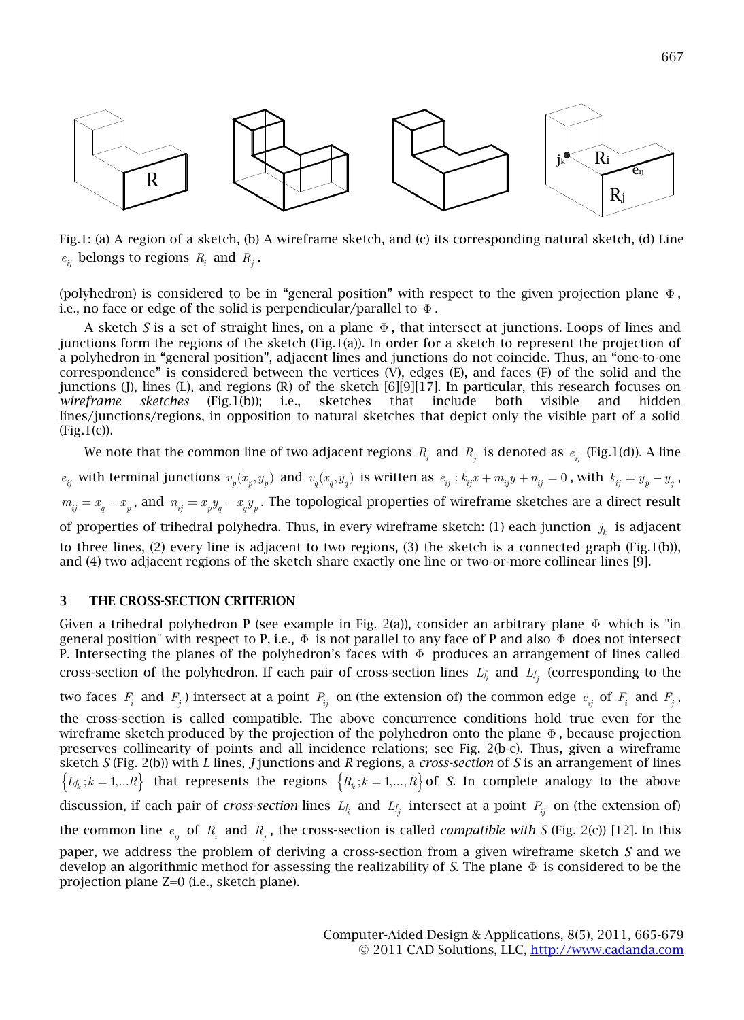

Fig.1: (a) A region of a sketch, (b) A wireframe sketch, and (c) its corresponding natural sketch, (d) Line  $e_{ij}$  belongs to regions  $R_i$  and  $R_j$ .

(polyhedron) is considered to be in "general position" with respect to the given projection plane  $\Phi$ , i.e., no face or edge of the solid is perpendicular/parallel to  $\Phi$ .

A sketch *S* is a set of straight lines, on a plane  $\Phi$ , that intersect at junctions. Loops of lines and junctions form the regions of the sketch (Fig.1(a)). In order for a sketch to represent the projection of a polyhedron in "general position", adjacent lines and junctions do not coincide. Thus, an "one-to-one correspondence" is considered between the vertices (V), edges (E), and faces (F) of the solid and the junctions (J), lines (L), and regions (R) of the sketch [6][9][17]. In particular, this research focuses on *wireframe sketches* (Fig.1(b)); i.e., sketches that include both visible and hidden lines/junctions/regions, in opposition to natural sketches that depict only the visible part of a solid  $(Fig.1(c))$ .

We note that the common line of two adjacent regions  $R_i$  and  $R_j$  is denoted as  $e_{\bar{i}j}$  (Fig.1(d)). A line  $e_{ij}$  with terminal junctions  $v_p(x_p, y_p)$  and  $v_q(x_q, y_q)$  is written as  $e_{ij}: k_{ij}x + m_{ij}y + n_{ij} = 0$ , with  $k_{ij} = y_p - y_q$ ,  $m_{ij} = x_g - x_p$ , and  $n_{ij} = x_p y_g - x_g y_p$ . The topological properties of wireframe sketches are a direct result of properties of trihedral polyhedra. Thus, in every wireframe sketch: (1) each junction  $j_{\scriptscriptstyle k}^{}$  is adjacent to three lines, (2) every line is adjacent to two regions, (3) the sketch is a connected graph (Fig.1(b)), and (4) two adjacent regions of the sketch share exactly one line or two-or-more collinear lines [9].

#### **3 THE CROSS-SECTION CRITERION**

Given a trihedral polyhedron P (see example in Fig. 2(a)), consider an arbitrary plane  $\Phi$  which is "in general position" with respect to P, i.e.,  $\Phi$  is not parallel to any face of P and also  $\Phi$  does not intersect P. Intersecting the planes of the polyhedron's faces with  $\Phi$  produces an arrangement of lines called cross-section of the polyhedron. If each pair of cross-section lines  $\,_{\!L\!f_i}$  and  $\,L\!f_j}$  (corresponding to the

two faces  $F_i$  and  $F_j$ ) intersect at a point  $P_{ij}$  on (the extension of) the common edge  $e_{ij}$  of  $F_i$  and  $F_j$ , the cross-section is called compatible. The above concurrence conditions hold true even for the wireframe sketch produced by the projection of the polyhedron onto the plane  $\Phi$ , because projection preserves collinearity of points and all incidence relations; see Fig. 2(b-c). Thus, given a wireframe sketch *S* (Fig. 2(b)) with *L* lines, *J* junctions and *R* regions, a *cross-section* of *S* is an arrangement of lines  $\{L_{f_k}; k=1,...R\}$  that represents the regions  $\{R_k; k=1,...,R\}$  of *S*. In complete analogy to the above discussion, if each pair of *cross-section* lines  $L_{f_i}$  and  $L_{f_j}$  intersect at a point  $P_{_{ij}}$  on (the extension of) the common line  $e_{ij}$  of  $R_i$  and  $R_j$ , the cross-section is called *compatible with S* (Fig. 2(c)) [12]. In this paper, we address the problem of deriving a cross-section from a given wireframe sketch *S* and we develop an algorithmic method for assessing the realizability of  $S$ . The plane  $\Phi$  is considered to be the projection plane Z=0 (i.e., sketch plane).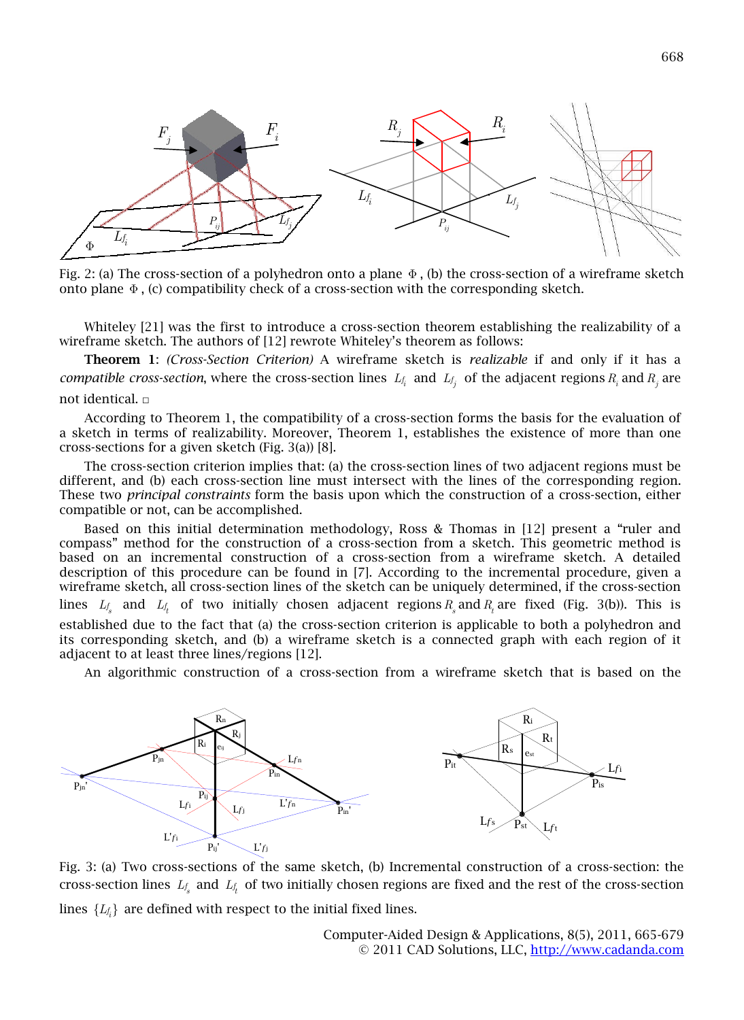

Fig. 2: (a) The cross-section of a polyhedron onto a plane  $\Phi$ , (b) the cross-section of a wireframe sketch onto plane  $\Phi$ , (c) compatibility check of a cross-section with the corresponding sketch.

Whiteley [21] was the first to introduce a cross-section theorem establishing the realizability of a wireframe sketch. The authors of [12] rewrote Whiteley's theorem as follows:

**Theorem 1**: *(Cross-Section Criterion)* A wireframe sketch is *realizable* if and only if it has a *compatible cross-section*, where the cross-section lines  $L_{f_i}$  and  $L_{f_j}$  of the adjacent regions  $R_i$  and  $R_j$  are not identical. □

#### According to Theorem 1, the compatibility of a cross-section forms the basis for the evaluation of a sketch in terms of realizability. Moreover, Theorem 1, establishes the existence of more than one cross-sections for a given sketch (Fig. 3(a)) [8].

The cross-section criterion implies that: (a) the cross-section lines of two adjacent regions must be different, and (b) each cross-section line must intersect with the lines of the corresponding region. These two *principal constraints* form the basis upon which the construction of a cross-section, either compatible or not, can be accomplished.

Based on this initial determination methodology, Ross & Thomas in [12] present a "ruler and compass" method for the construction of a cross-section from a sketch. This geometric method is based on an incremental construction of a cross-section from a wireframe sketch. A detailed description of this procedure can be found in [7]. According to the incremental procedure, given a wireframe sketch, all cross-section lines of the sketch can be uniquely determined, if the cross-section lines  $L_f$  and  $L_f$  of two initially chosen adjacent regions  $R_s$  and  $R_t$  are fixed (Fig. 3(b)). This is established due to the fact that (a) the cross-section criterion is applicable to both a polyhedron and its corresponding sketch, and (b) a wireframe sketch is a connected graph with each region of it adjacent to at least three lines/regions [12].

An algorithmic construction of a cross-section from a wireframe sketch that is based on the





Fig. 3: (a) Two cross-sections of the same sketch, (b) Incremental construction of a cross-section: the cross-section lines  $L_{\!f_{\!s}}$  and  $L_{\!f_{\!t}}$  of two initially chosen regions are fixed and the rest of the cross-section lines  $\{L_{\!f_i}\}$  are defined with respect to the initial fixed lines.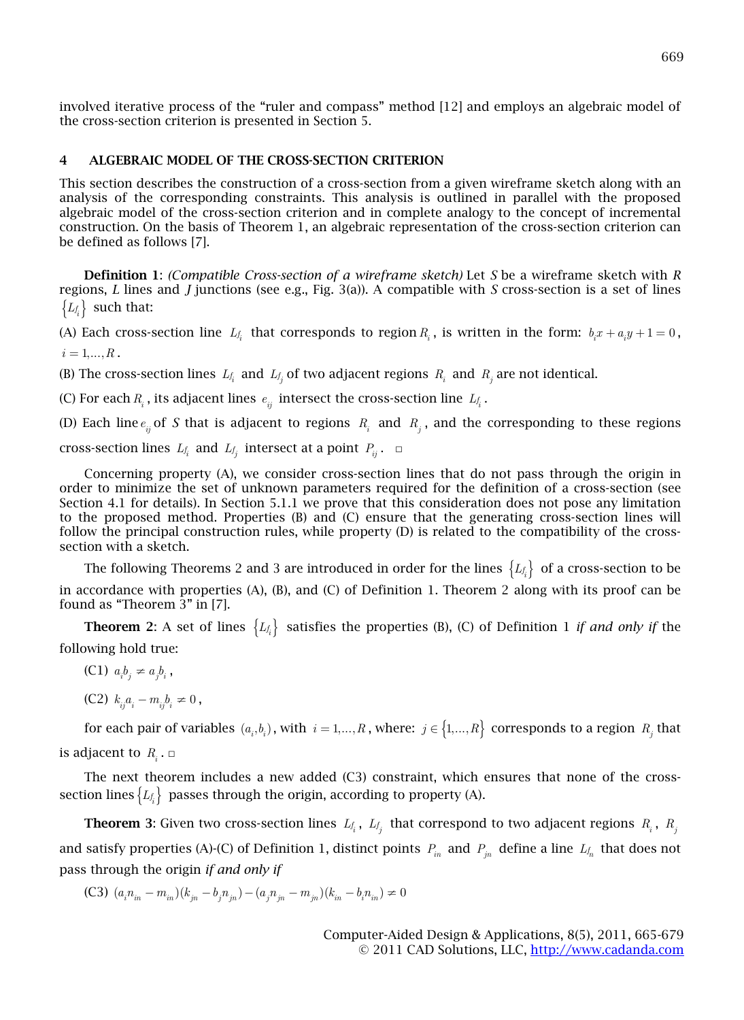involved iterative process of the "ruler and compass" method [12] and employs an algebraic model of the cross-section criterion is presented in Section 5.

# **4 ALGEBRAIC MODEL OF THE CROSS-SECTION CRITERION**

This section describes the construction of a cross-section from a given wireframe sketch along with an analysis of the corresponding constraints. This analysis is outlined in parallel with the proposed algebraic model of the cross-section criterion and in complete analogy to the concept of incremental construction. On the basis of Theorem 1, an algebraic representation of the cross-section criterion can be defined as follows [7].

**Definition 1**: *(Compatible Cross-section of a wireframe sketch)* Let *S* be a wireframe sketch with *R* regions, *L* lines and *J* junctions (see e.g., Fig. 3(a)). A compatible with *S* cross-section is a set of lines  $\left\{L_{f_i}\right\}$  such that:

(A) Each cross-section line  $L_{f_i}$  that corresponds to region  $R_i$ , is written in the form:  $b_i x + a_i y + 1 = 0$ ,  $i = 1, ..., R$ .

(B) The cross-section lines  $L_{f_i}$  and  $L_{f_j}$  of two adjacent regions  $R_i$  and  $R_j$  are not identical.

(C) For each  $R_i$  , its adjacent lines  $e_{ij}$  intersect the cross-section line  $L_{\!f_i}$  .

(D) Each line  $e_{ij}$  of *S* that is adjacent to regions  $R_i$  and  $R_j$  , and the corresponding to these regions

cross-section lines  $L_{\!f_i}$  and  $L_{\!f_j}$  intersect at a point  $P_{ij}$ .  $\Box$ 

Concerning property (A), we consider cross-section lines that do not pass through the origin in order to minimize the set of unknown parameters required for the definition of a cross-section (see Section 4.1 for details). In Section 5.1.1 we prove that this consideration does not pose any limitation to the proposed method. Properties (B) and (C) ensure that the generating cross-section lines will follow the principal construction rules, while property (D) is related to the compatibility of the crosssection with a sketch.

The following Theorems 2 and 3 are introduced in order for the lines  $\big\{L_{\!f_i}\big\}$  of a cross-section to be in accordance with properties (A), (B), and (C) of Definition 1. Theorem 2 along with its proof can be found as "Theorem 3" in [7].

**Theorem 2**: A set of lines  $\{L_{\ell_i}\}$  satisfies the properties (B), (C) of Definition 1 *if and only if* the following hold true:

- (C1)  $a_i b_i \neq a_i b_i$ ,
- (C2)  $k_{ii}a_i m_{ii}b_i \neq 0$ ,

for each pair of variables  $(a_i, b_i)$ , with  $i = 1,..., R$ , where:  $j \in \{1,..., R\}$  corresponds to a region  $R_j$  that is adjacent to  $R_i$  .  $\Box$ 

The next theorem includes a new added (C3) constraint, which ensures that none of the crosssection lines  $\left\{L_{\ell_i}\right\}$  passes through the origin, according to property (A).

**Theorem 3:** Given two cross-section lines  $L_{f_i}$ ,  $L_{f_j}$  that correspond to two adjacent regions  $R_i$ ,  $R_j$ and satisfy properties (A)-(C) of Definition 1, distinct points  $P_{_{in}}$  and  $P_{_{jn}}$  define a line  $L_{\!f_{_n}}$  that does not pass through the origin *if and only if*

(C3) 
$$
(a_i n_{in} - m_{in})(k_{in} - b_j n_{in}) - (a_j n_{in} - m_{in})(k_{in} - b_i n_{in}) \neq 0
$$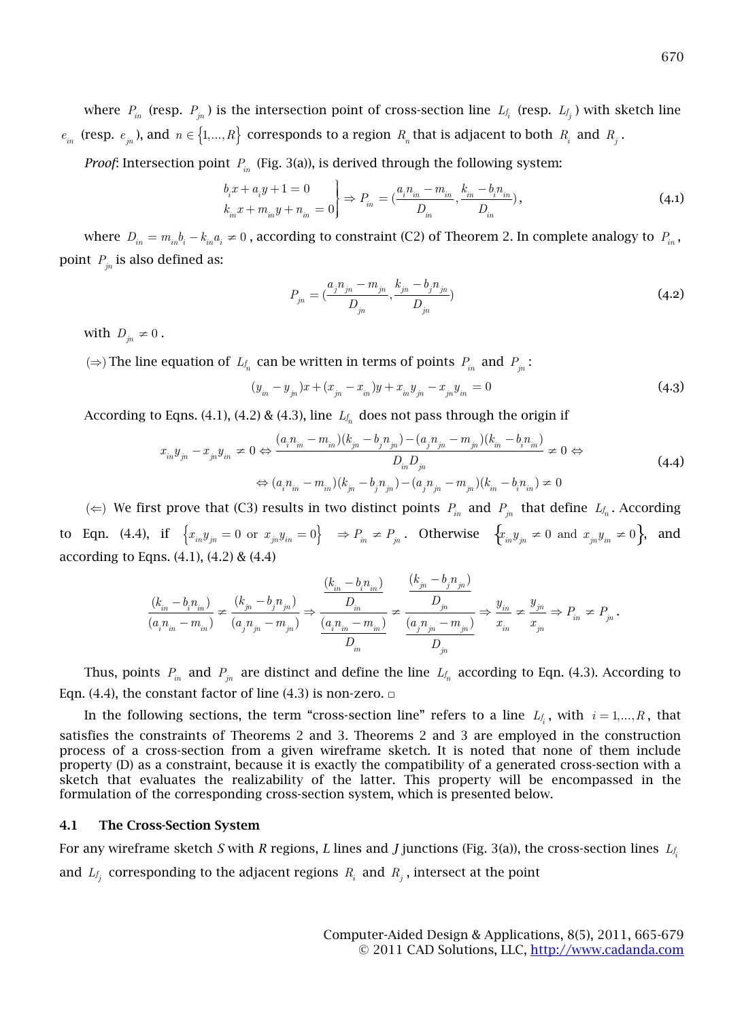where  $P_{in}$  (resp.  $P_{in}$ ) is the intersection point of cross-section line  $L_{f_i}$  (resp.  $L_{f_j}$ ) with sketch line  $e_{in}$  (resp.  $e_{in}$ ), and  $n \in \{1,...,R\}$  corresponds to a region  $R_n$  that is adjacent to both  $R_i$  and  $R_j$ .

*Proof*: Intersection point  $P_{in}$  (Fig. 3(a)), is derived through the following system:

$$
b_i x + a_i y + 1 = 0
$$
  
\n
$$
k_{in} x + m_{in} y + n_{in} = 0
$$
\n
$$
\Rightarrow P_{in} = \left(\frac{a_i n_{in} - m_{in}}{D_{in}}, \frac{k_{in} - b_i n_{in}}{D_{in}}\right),
$$
\n(4.1)

where  $D_m = m_m b_i - k_m a_i \neq 0$ , according to constraint (C2) of Theorem 2. In complete analogy to  $P_m$ , point  $P_{in}$  is also defined as:

$$
P_{jn} = \left(\frac{a_j n_{jn} - m_{jn}}{D_{jn}}, \frac{k_{jn} - b_j n_{jn}}{D_{jn}}\right)
$$
\n(4.2)

with  $D_{in} \neq 0$ .

 $(\Rightarrow)$  The line equation of  $L_{f_n}$  can be written in terms of points  $P_{in}$  and  $P_{in}$ :

$$
(y_{in} - y_{in})x + (x_{in} - x_{in})y + x_{in}y_{in} - x_{in}y_{in} = 0
$$
\n(4.3)

According to Eqns. (4.1), (4.2) & (4.3), line  $L_{f_n}$  does not pass through the origin if

$$
x_{in}y_{jn} - x_{jn}y_{in} \neq 0 \Leftrightarrow \frac{(a_{i}n_{in} - m_{in})(k_{jn} - b_{j}n_{jn}) - (a_{j}n_{jn} - m_{jn})(k_{in} - b_{i}n_{in})}{D_{in}D_{jn}} \neq 0 \Leftrightarrow
$$
  

$$
\Leftrightarrow (a_{i}n_{in} - m_{in})(k_{jn} - b_{j}n_{jn}) - (a_{j}n_{jn} - m_{jn})(k_{in} - b_{i}n_{in}) \neq 0
$$
\n(4.4)

( $\Leftarrow$ ) We first prove that (C3) results in two distinct points  $P_{in}$  and  $P_{in}$  that define  $L_{f_n}$ . According to Eqn. (4.4), if  $\left\{ x_{in}y_{jn}=0 \text{ or } x_{jn}y_{in}=0 \right\} \Rightarrow P_{in} \neq P_{jn}$ . Otherwise  $\left\{ x_{in}y_{jn}\neq 0 \text{ and } x_{jn}y_{in}\neq 0 \right\}$ , and according to Eqns.  $(4.1)$ ,  $(4.2)$  &  $(4.4)$ 

$$
\frac{(k_{\stackrel{.}{m}}-b_{\stackrel{.}{i}}n_{\stackrel{.}{m}})}{(a_{\stackrel{.}{i}}n_{\stackrel{.}{m}}-m_{\stackrel{.}{m}})}\neq \frac{(k_{\stackrel{.}{m}}-b_{\stackrel{.}{j}}n_{\stackrel{.}{m}})}{(a_{\stackrel{.}{j}}n_{\stackrel{.}{m}}-m_{\stackrel{.}{m}})}\Rightarrow \frac{D_{\stackrel{.}{m}}}{\frac{D_{\stackrel{.}{m}}}{(a_{\stackrel{.}{i}}n_{\stackrel{.}{m}}-m_{\stackrel{.}{m}})}}\neq \frac{(k_{\stackrel{.}{m}}-b_{\stackrel{.}{j}}n_{\stackrel{.}{m}})}{(a_{\stackrel{.}{j}}n_{\stackrel{.}{m}}-m_{\stackrel{.}{m}})}\Rightarrow \frac{y_{\stackrel{.}{m}}}{x_{\stackrel{.}{m}}}\neq \frac{y_{\stackrel{.}{m}}}{x_{\stackrel{.}{m}}}\Rightarrow P_{\stackrel{.}{m}}\neq P_{\stackrel{.}{m}}.
$$

Thus, points  $P_{in}$  and  $P_{in}$  are distinct and define the line  $L_{f_n}$  according to Eqn. (4.3). According to Eqn. (4.4), the constant factor of line (4.3) is non-zero.  $□$ 

In the following sections, the term "cross-section line" refers to a line  $L_i$ , with  $i = 1,...,R$ , that satisfies the constraints of Theorems 2 and 3. Theorems 2 and 3 are employed in the construction process of a cross-section from a given wireframe sketch. It is noted that none of them include property (D) as a constraint, because it is exactly the compatibility of a generated cross-section with a sketch that evaluates the realizability of the latter. This property will be encompassed in the formulation of the corresponding cross-section system, which is presented below.

#### **4.1 The Cross-Section System**

For any wireframe sketch *S* with *R* regions, *L* lines and *J* junctions (Fig. 3(a)), the cross-section lines *<sup>f</sup> i L* and  $L_{\!f_j}$  corresponding to the adjacent regions  $R_i$  and  $R_j$  , intersect at the point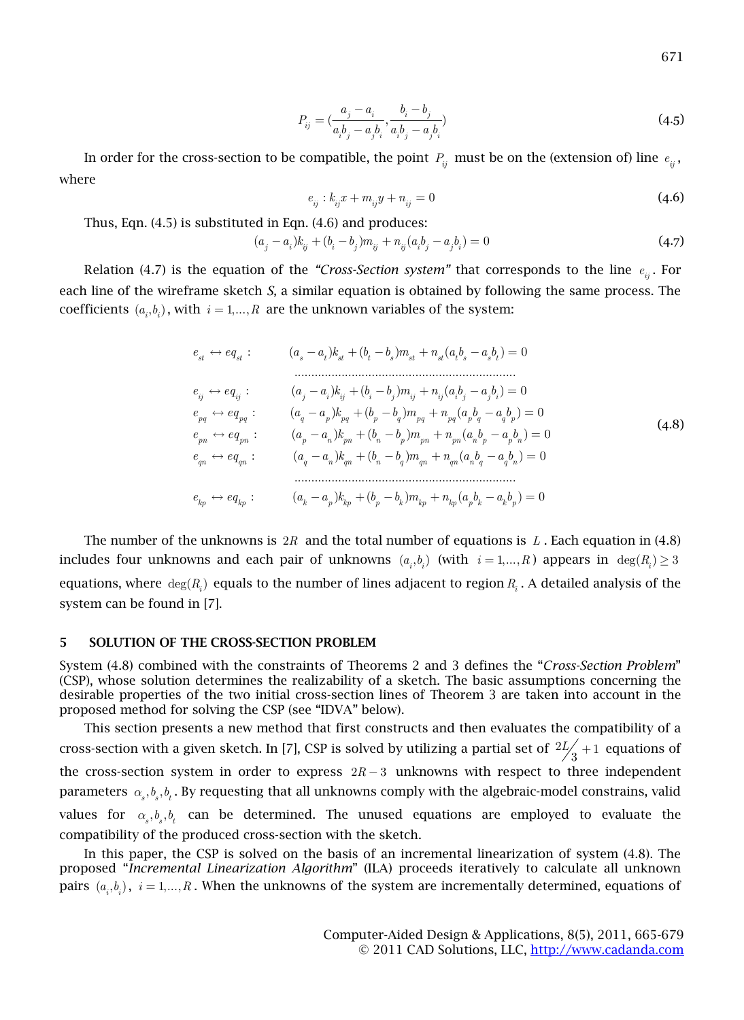$$
P_{ij} = \left(\frac{a_j - a_i}{a_i b_j - a_j b_i}, \frac{b_i - b_j}{a_i b_j - a_j b_i}\right)
$$
\n(4.5)

In order for the cross-section to be compatible, the point  $P_{ij}$  must be on the (extension of) line  $e_{ij}$ , where

$$
e_{ij}: k_{ij}x + m_{ij}y + n_{ij} = 0
$$
\n(4.6)

Thus, Eqn. (4.5) is substituted in Eqn. (4.6) and produces:

$$
(a_j - a_i)k_{ij} + (b_i - b_j)m_{ij} + n_{ij}(a_ib_j - a_jb_i) = 0
$$
\n(4.7)

Relation (4.7) is the equation of the *"Cross-Section system"* that corresponds to the line  $e_{ij}$ . For each line of the wireframe sketch *S,* a similar equation is obtained by following the same process. The coefficients  $(a_i, b_i)$ , with  $i = 1,..., R$  are the unknown variables of the system:

$$
e_{st} \leftrightarrow eq_{st}: \t (a_s - a_t)k_{st} + (b_t - b_s)m_{st} + n_{st}(a_t b_s - a_s b_t) = 0
$$
  
\n
$$
e_{ij} \leftrightarrow eq_{ij}: \t (a_j - a_i)k_{ij} + (b_i - b_j)m_{ij} + n_{ij}(a_ib_j - a_j b_i) = 0
$$
  
\n
$$
e_{pq} \leftrightarrow eq_{pq}: \t (a_q - a_p)k_{pq} + (b_p - b_q)m_{pq} + n_{pq}(a_p b_q - a_q b_p) = 0
$$
  
\n
$$
e_{pn} \leftrightarrow eq_{pn}: \t (a_p - a_n)k_{pn} + (b_n - b_p)m_{pn} + n_{pn}(a_n b_p - a_p b_n) = 0
$$
  
\n
$$
e_{qn} \leftrightarrow eq_{qn}: \t (a_q - a_n)k_{qn} + (b_n - b_q)m_{qn} + n_{qn}(a_n b_q - a_q b_n) = 0
$$
  
\n
$$
e_{kp} \leftrightarrow eq_{kp}: \t (a_k - a_p)k_{kp} + (b_p - b_k)m_{kp} + n_{kp}(a_p b_k - a_k b_p) = 0
$$

The number of the unknowns is 2*R* and the total number of equations is *L* . Each equation in (4.8) includes four unknowns and each pair of unknowns  $(a_i, b_i)$  (with  $i = 1,..., R$ ) appears in  $deg(R_i) \geq 3$ equations, where  $\deg(R_i)$  equals to the number of lines adjacent to region  $R_i$  . A detailed analysis of the system can be found in [7].

#### **5 SOLUTION OF THE CROSS-SECTION PROBLEM**

System (4.8) combined with the constraints of Theorems 2 and 3 defines the "*Cross-Section Problem*" (CSP), whose solution determines the realizability of a sketch. The basic assumptions concerning the desirable properties of the two initial cross-section lines of Theorem 3 are taken into account in the proposed method for solving the CSP (see "IDVA" below).

This section presents a new method that first constructs and then evaluates the compatibility of a cross-section with a given sketch. In [7], CSP is solved by utilizing a partial set of  $\frac{2L}{3}+1$  equations of the cross-section system in order to express  $2R-3$  unknowns with respect to three independent parameters  $\alpha_s$ , $b_s$ , $b_t$ . By requesting that all unknowns comply with the algebraic-model constrains, valid values for  $\alpha_s$ , $b_s$ , $b_t$  can be determined. The unused equations are employed to evaluate the compatibility of the produced cross-section with the sketch.

In this paper, the CSP is solved on the basis of an incremental linearization of system (4.8). The proposed "*Incremental Linearization Algorithm*" (ILA) proceeds iteratively to calculate all unknown pairs  $(a_i, b_i)$ ,  $i = 1, ..., R$ . When the unknowns of the system are incrementally determined, equations of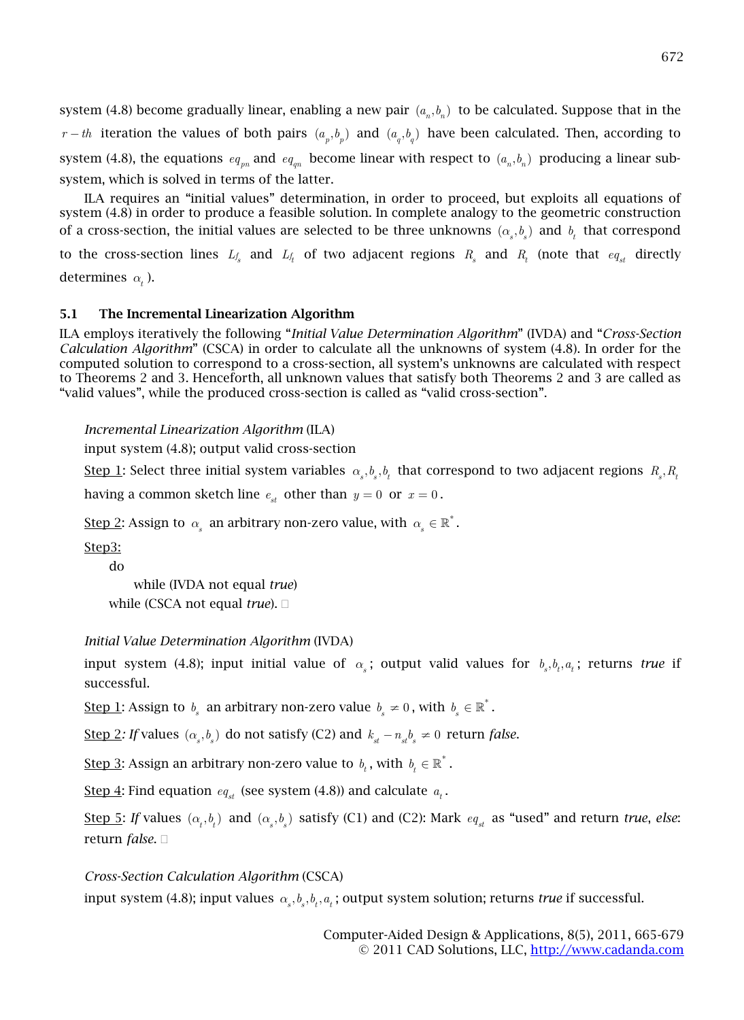system (4.8) become gradually linear, enabling a new pair  $(a_n, b_n)$  to be calculated. Suppose that in the *r* – *th* iteration the values of both pairs  $(a_p, b_p)$  and  $(a_q, b_q)$  have been calculated. Then, according to system (4.8), the equations  $eq_{pn}$  and  $eq_{qn}$  become linear with respect to  $(a_n, b_n)$  producing a linear subsystem, which is solved in terms of the latter.

ILA requires an "initial values" determination, in order to proceed, but exploits all equations of system (4.8) in order to produce a feasible solution. In complete analogy to the geometric construction of a cross-section, the initial values are selected to be three unknowns  $(\alpha_s, b_s)$  and  $b_t$  that correspond to the cross-section lines  $L_f$  and  $L_f$  of two adjacent regions  $R_s$  and  $R_t$  (note that  $eq_{st}$  directly determines  $\alpha_{_t}$  ).

## **5.1 The Incremental Linearization Algorithm**

ILA employs iteratively the following "*Initial Value Determination Algorithm*" (IVDA) and "*Cross-Section Calculation Algorithm*" (CSCA) in order to calculate all the unknowns of system (4.8). In order for the computed solution to correspond to a cross-section, all system's unknowns are calculated with respect to Theorems 2 and 3. Henceforth, all unknown values that satisfy both Theorems 2 and 3 are called as "valid values", while the produced cross-section is called as "valid cross-section".

*Incremental Linearization Algorithm* (ILA)

input system (4.8); output valid cross-section

Step 1: Select three initial system variables  $\alpha_s, b_s, b_t$  that correspond to two adjacent regions  $R_s, R_t$ 

having a common sketch line  $e_{st}$  other than  $y = 0$  or  $x = 0$ .

<u>Step 2</u>: Assign to  $\alpha_s$  an arbitrary non-zero value, with  $\alpha_s \in \mathbb{R}^*$ .

Step3:

do

while (IVDA not equal *true*)

while (CSCA not equal *true*).

# *Initial Value Determination Algorithm* (IVDA)

input system (4.8); input initial value of  $\alpha_s$ ; output valid values for  $b_s, b_t, a_t$ ; returns *true* if successful.

Step 1: Assign to  $b_s$  an arbitrary non-zero value  $b_s \neq 0$ , with  $b_s \in \mathbb{R}^*$ .

Step 2*:* If values  $(\alpha_s, b_s)$  do not satisfy (C2) and  $k_{st} - n_{st}b_s \neq 0$  return *false*.

<u>Step 3</u>: Assign an arbitrary non-zero value to  $b_t$ , with  $b_t \in \mathbb{R}^*$ .

<u>Step 4</u>: Find equation  $\mathit{eq}_{\mathit{st}}$  (see system (4.8)) and calculate  $\mathit{a}_{\mathit{t}}$ .

Step 5: *If* values  $(\alpha_t, b_t)$  and  $(\alpha_s, b_s)$  satisfy (C1) and (C2): Mark  $eq_{st}$  as "used" and return *true*, *else*: return *false*.

*Cross-Section Calculation Algorithm* (CSCA)

input system (4.8); input values  $\alpha_{s}$ ,  $b_{s}$ ,  $b_{t}$ ,  $a_{t}$ ; output system solution; returns *true* if successful.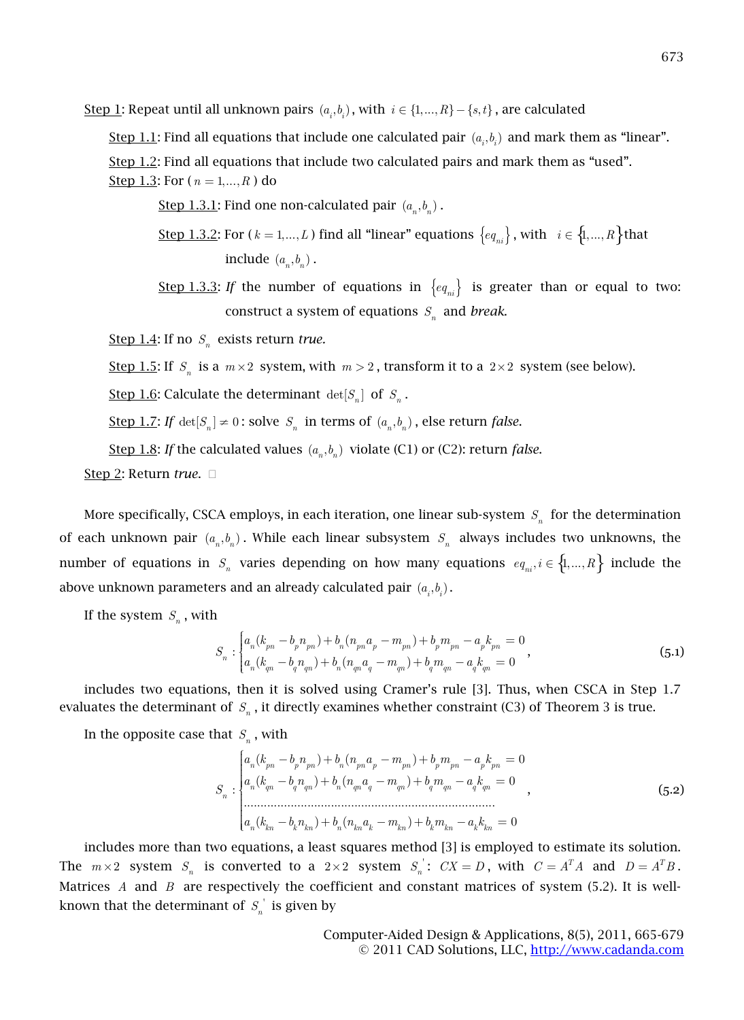- <u>Step 1</u>: Repeat until all unknown pairs  $(a_i, b_i)$ , with  $i \in \{1, ..., R\} \{s, t\}$ , are calculated
	- Step 1.1: Find all equations that include one calculated pair  $(a_i, b_i)$  and mark them as "linear".

Step 1.2: Find all equations that include two calculated pairs and mark them as "used".

Step 1.3: For  $(n = 1,..., R)$  do

<u>Step 1.3.1</u>: Find one non-calculated pair  $(a_n, b_n)$ .

<u>Step 1.3.2</u>: For ( $k = 1, ..., L$ ) find all "linear" equations  $\{eq_{ni}\}\$ , with  $i \in \{1, ..., R\}$  that include  $(a_n, b_n)$ .

Step 1.3.3: *If* the number of equations in  $\{eq_{ni}\}\$ is greater than or equal to two: construct a system of equations  $S_n$  and *break*.

<u>Step 1.4</u>: If no  $S_n$  exists return *true.* 

<u>Step 1.5</u>: If  $S_n$  is a  $m \times 2$  system, with  $m > 2$ , transform it to a  $2 \times 2$  system (see below).

<u>Step 1.6</u>: Calculate the determinant  $det[S_n]$  of  $S_n$ .

Step 1.7: *If*  $det[S_n] \neq 0$ : solve  $S_n$  in terms of  $(a_n, b_n)$ , else return *false*.

<u>Step 1.8</u>: *If* the calculated values  $(a_n, b_n)$  violate (C1) or (C2): return *false*.

Step 2: Return *true*.

More specifically, CSCA employs, in each iteration, one linear sub-system  $S_n^{\dagger}$  for the determination of each unknown pair  $(a_n, b_n)$ . While each linear subsystem  $S_n$  always includes two unknowns, the number of equations in  $S_n$  varies depending on how many equations  $eq_{ni}, i \in \{1,...,R\}$  include the above unknown parameters and an already calculated pair  $(a_i, b_i)$ .

If the system  $S_n$  , with

$$
S_n : \begin{cases} a_n(k_{pn} - b_p n_{pn}) + b_n(n_{pn} a_p - m_{pn}) + b_p m_{pn} - a_p k_{pn} = 0\\ a_n(k_{qn} - b_q n_{qn}) + b_n(n_{qn} a_q - m_{qn}) + b_q m_{qn} - a_q k_{qn} = 0 \end{cases}
$$
\n
$$
(5.1)
$$

includes two equations, then it is solved using Cramer's rule [3]. Thus, when CSCA in Step 1.7 evaluates the determinant of  $S_n$ , it directly examines whether constraint (C3) of Theorem 3 is true.

In the opposite case that  $S_n$  , with

$$
S_{n} : \begin{cases} a_{n}(k_{pn} - b_{p}n_{pn}) + b_{n}(n_{pn}a_{p} - m_{pn}) + b_{p}m_{pn} - a_{p}k_{pn} = 0\\ a_{n}(k_{qn} - b_{q}n_{qn}) + b_{n}(n_{qn}a_{q} - m_{qn}) + b_{q}m_{qn} - a_{q}k_{qn} = 0\\ \vdots\\ a_{n}(k_{kn} - b_{k}n_{kn}) + b_{n}(n_{kn}a_{k} - m_{kn}) + b_{k}m_{kn} - a_{k}k_{kn} = 0 \end{cases}
$$
(5.2)

includes more than two equations, a least squares method [3] is employed to estimate its solution. The  $m \times 2$  system  $S_n$  is converted to a  $2 \times 2$  system  $S_n$ :  $CX = D$ , with  $C = A^T A$  and  $D = A^T B$ . Matrices *A* and *B* are respectively the coefficient and constant matrices of system (5.2). It is wellknown that the determinant of  $S_n^{\dagger}$  is given by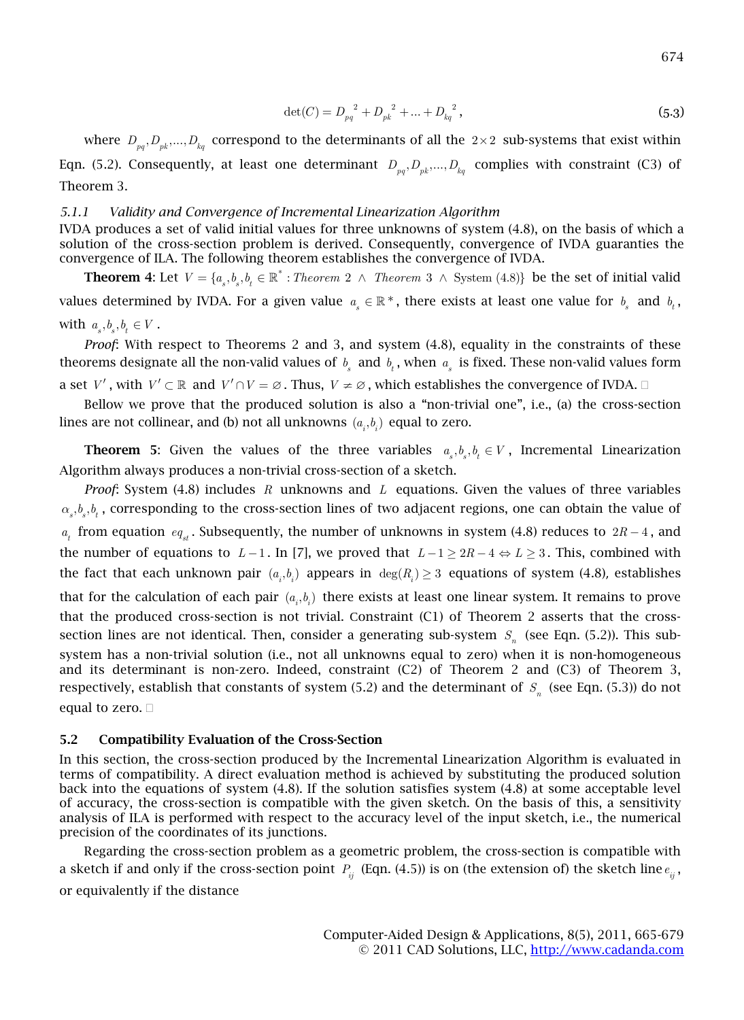$$
\det(C) = D_{pq}^{2} + D_{pk}^{2} + \dots + D_{kq}^{2},
$$
\n(5.3)

where  $D_{p,q}, D_{p,k},..., D_{k,q}$  correspond to the determinants of all the 2×2 sub-systems that exist within Eqn. (5.2). Consequently, at least one determinant  $D_{p,q}, D_{p,k},..., D_{k,q}$  complies with constraint (C3) of Theorem 3.

# *5.1.1 Validity and Convergence of Incremental Linearization Algorithm*

IVDA produces a set of valid initial values for three unknowns of system (4.8), on the basis of which a solution of the cross-section problem is derived. Consequently, convergence of IVDA guaranties the convergence of ILA. The following theorem establishes the convergence of IVDA.

**Theorem 4:** Let  $V = \{a_s, b_s, b_t \in \mathbb{R}^* : Theorem 2 \land Theorem 3 \land System (4.8)\}$  be the set of initial valid values determined by IVDA. For a given value  $a_s \in \mathbb{R}^*$ , there exists at least one value for  $b_s$  and  $b_t$ , with  $a_s, b_s, b_t \in V$ .

*Proof*: With respect to Theorems 2 and 3, and system (4.8), equality in the constraints of these theorems designate all the non-valid values of  $b_s$  and  $b_t$ , when  $a_s$  is fixed. These non-valid values form a set *V'*, with  $V' \subset \mathbb{R}$  and  $V' \cap V = \emptyset$ . Thus,  $V \neq \emptyset$ , which establishes the convergence of IVDA.

Bellow we prove that the produced solution is also a "non-trivial one", i.e., (a) the cross-section lines are not collinear, and (b) not all unknowns  $(a_i, b_i)$  equal to zero.

**Theorem 5:** Given the values of the three variables  $a_s, b_s, b_t \in V$ , Incremental Linearization Algorithm always produces a non-trivial cross-section of a sketch.

*Proof*: System (4.8) includes *R* unknowns and *L* equations. Given the values of three variables  $\alpha_{s}, b_{s}, b_{t}$ , corresponding to the cross-section lines of two adjacent regions, one can obtain the value of  $a_t$  from equation  $eq_{st}$ . Subsequently, the number of unknowns in system (4.8) reduces to  $2R-4$ , and the number of equations to  $L-1$ . In [7], we proved that  $L-1 \geq 2R-4 \Leftrightarrow L \geq 3$ . This, combined with the fact that each unknown pair  $(a_i, b_i)$  appears in  $\deg(R_i) \geq 3$  equations of system (4.8), establishes that for the calculation of each pair  $(a_i, b_i)$  there exists at least one linear system. It remains to prove that the produced cross-section is not trivial. Constraint (C1) of Theorem 2 asserts that the crosssection lines are not identical. Then, consider a generating sub-system  $S_n$  (see Eqn. (5.2)). This subsystem has a non-trivial solution (i.e., not all unknowns equal to zero) when it is non-homogeneous and its determinant is non-zero. Indeed, constraint (C2) of Theorem 2 and (C3) of Theorem 3, respectively, establish that constants of system (5.2) and the determinant of  $\,S_{_n}\,$  (see Eqn. (5.3)) do not equal to zero. □

## **5.2 Compatibility Evaluation of the Cross-Section**

In this section, the cross-section produced by the Incremental Linearization Algorithm is evaluated in terms of compatibility. A direct evaluation method is achieved by substituting the produced solution back into the equations of system (4.8). If the solution satisfies system (4.8) at some acceptable level of accuracy, the cross-section is compatible with the given sketch. On the basis of this, a sensitivity analysis of ILA is performed with respect to the accuracy level of the input sketch, i.e., the numerical precision of the coordinates of its junctions.

Regarding the cross-section problem as a geometric problem, the cross-section is compatible with a sketch if and only if the cross-section point  $P_{ij}$  (Eqn. (4.5)) is on (the extension of) the sketch line  $e_{ij}$ , or equivalently if the distance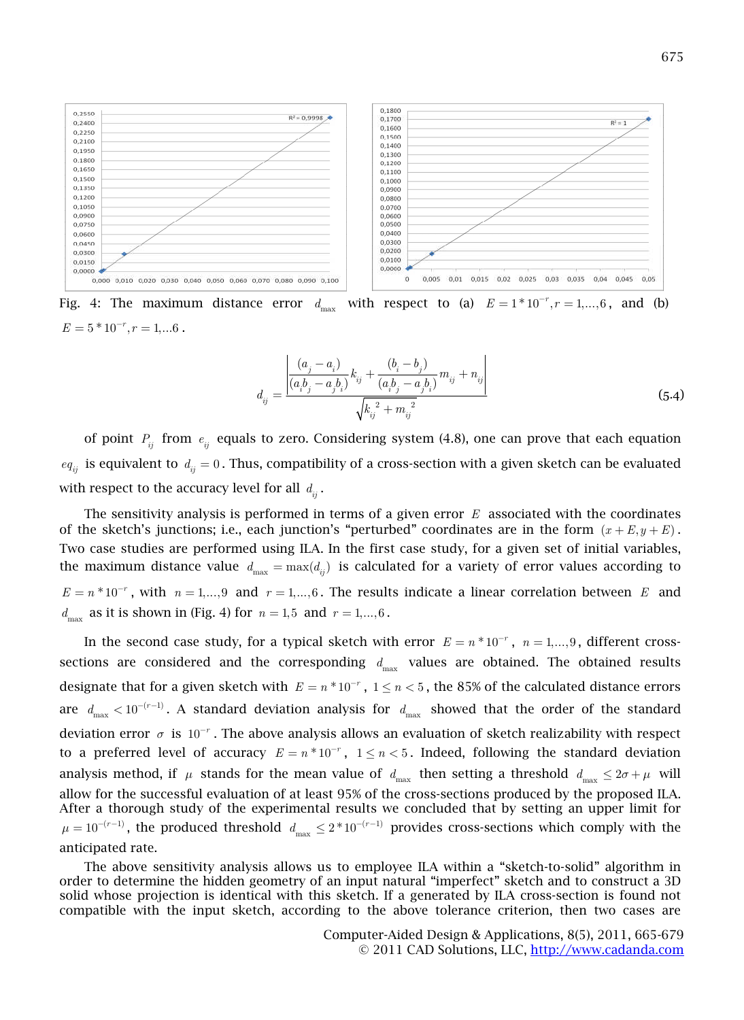

Fig. 4: The maximum distance error  $d_{\text{max}}$ with respect to (a)  $E = 1 * 10^{-r}$ ,  $r = 1,...,6$ , and (b)  $E = 5 * 10^{-r}, r = 1,...6$ .

$$
d_{ij} = \frac{\left| \frac{(a_j - a_i)}{(a_i b_j - a_j b_i)} k_{ij} + \frac{(b_i - b_j)}{(a_i b_j - a_j b_i)} m_{ij} + n_{ij} \right|}{\sqrt{k_{ij}^2 + m_{ij}^2}}
$$
(5.4)

of point  $P_{ii}$  from  $e_{ii}$  equals to zero. Considering system (4.8), one can prove that each equation  $eq_{ij}$  is equivalent to  $d_{ij} = 0$ . Thus, compatibility of a cross-section with a given sketch can be evaluated with respect to the accuracy level for all  $d_{ii}$ .

The sensitivity analysis is performed in terms of a given error *E* associated with the coordinates of the sketch's junctions; i.e., each junction's "perturbed" coordinates are in the form  $(x + E, y + E)$ . Two case studies are performed using ILA. In the first case study, for a given set of initial variables, the maximum distance value  $d_{\text{max}} = \max(d_{ij})$  is calculated for a variety of error values according to  $E = n * 10^{-r}$ , with  $n = 1,...,9$  and  $r = 1,...,6$ . The results indicate a linear correlation between *E* and  $d_{\text{max}}$  as it is shown in (Fig. 4) for  $n = 1,5$  and  $r = 1,...,6$ .

In the second case study, for a typical sketch with error  $E = n * 10^{-r}$ ,  $n = 1,...,9$ , different crosssections are considered and the corresponding  $d_{\max}$  values are obtained. The obtained results designate that for a given sketch with  $E = n * 10^{-r}$ ,  $1 \le n < 5$ , the 85% of the calculated distance errors are  $d_{\max} < 10^{-(r-1)}$ . A standard deviation analysis for  $d_{\max}$  showed that the order of the standard deviation error  $\sigma$  is  $10^{-r}$  . The above analysis allows an evaluation of sketch realizability with respect to a preferred level of accuracy  $E = n * 10^{-r}$ ,  $1 \le n < 5$ . Indeed, following the standard deviation analysis method, if  $\mu$  stands for the mean value of  $d_{\max}$  then setting a threshold  $d_{\max} \leq 2\sigma + \mu$  will allow for the successful evaluation of at least 95% of the cross-sections produced by the proposed ILA. After a thorough study of the experimental results we concluded that by setting an upper limit for  $\mu = 10^{-(r-1)}$ , the produced threshold  $d_{\max} \leq 2 * 10^{-(r-1)}$  provides cross-sections which comply with the anticipated rate.

The above sensitivity analysis allows us to employee ILA within a "sketch-to-solid" algorithm in order to determine the hidden geometry of an input natural "imperfect" sketch and to construct a 3D solid whose projection is identical with this sketch. If a generated by ILA cross-section is found not compatible with the input sketch, according to the above tolerance criterion, then two cases are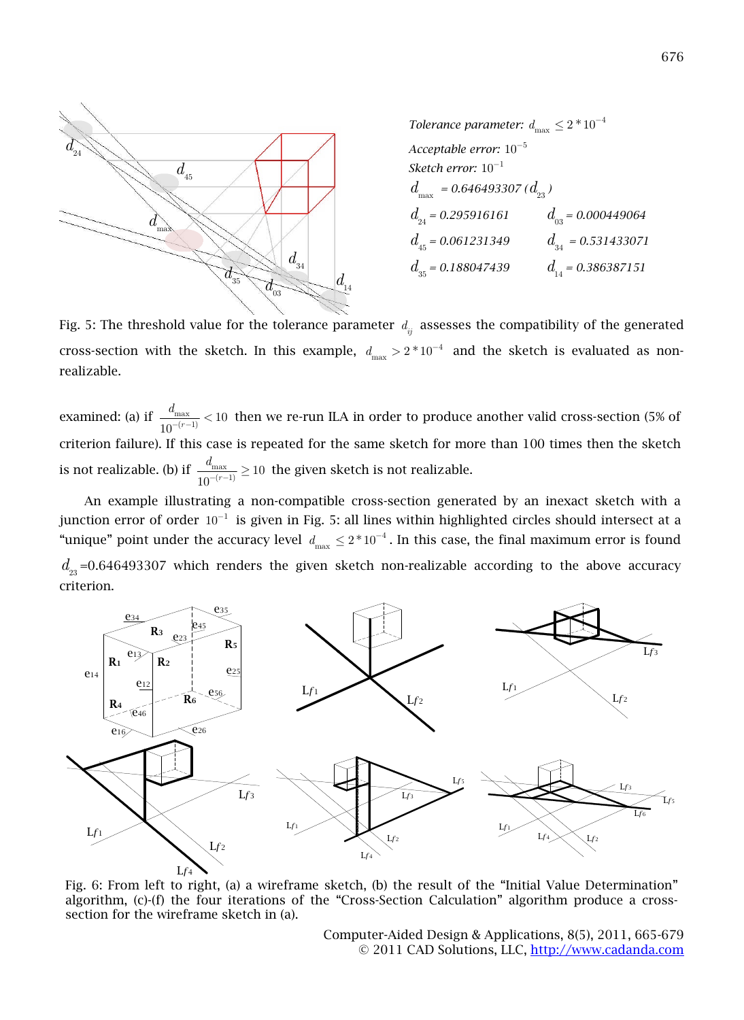

*Tolerance parameter:*  $d_{\text{max}} \leq 2 * 10^{-4}$  ${\it Acceptable\ error:}\ 10^{-5}$ Sketch error:  $10^{-1}$  $d_{\text{max}}$  = 0.646493307 ( $d_{23}$ ) <sup>24</sup> *d = 0.295916161* <sup>45</sup> *d = 0.061231349*  $d_{35} = 0.188047439$   $d_{14} = 0.386387151$  $d_{03} = 0.000449064$ <sup>34</sup> *d = 0.531433071*

Fig. 5: The threshold value for the tolerance parameter  $d_{ij}$  assesses the compatibility of the generated cross-section with the sketch. In this example,  $d_{\max} > 2 * 10^{-4}$  and the sketch is evaluated as nonrealizable.

examined: (a) if  $\frac{m_{\text{max}}}{10^{-(r-1)}} < 10$ *d*  $t_{\text{max}}^{\text{max}}$   $<$  10 then we re-run ILA in order to produce another valid cross-section (5% of criterion failure). If this case is repeated for the same sketch for more than 100 times then the sketch is not realizable. (b) if  $\frac{m_{\text{max}}}{10^{-(r-1)}} \ge 10$ *d*  $\frac{\text{max}}{-(r-1)} \geq 10$  the given sketch is not realizable.

An example illustrating a non-compatible cross-section generated by an inexact sketch with a junction error of order  $10^{-1}$  is given in Fig. 5: all lines within highlighted circles should intersect at a "unique" point under the accuracy level  $d_{\max} \leq 2*10^{-4}$  . In this case, the final maximum error is found  $d_{23}$  =0.646493307 which renders the given sketch non-realizable according to the above accuracy criterion.



Fig. 6: From left to right, (a) a wireframe sketch, (b) the result of the "Initial Value Determination" algorithm, (c)-(f) the four iterations of the "Cross-Section Calculation" algorithm produce a crosssection for the wireframe sketch in (a).

Computer-Aided Design & Applications, 8(5), 2011, 665-679 © 2011 CAD Solutions, LLC, http://www.cadanda.com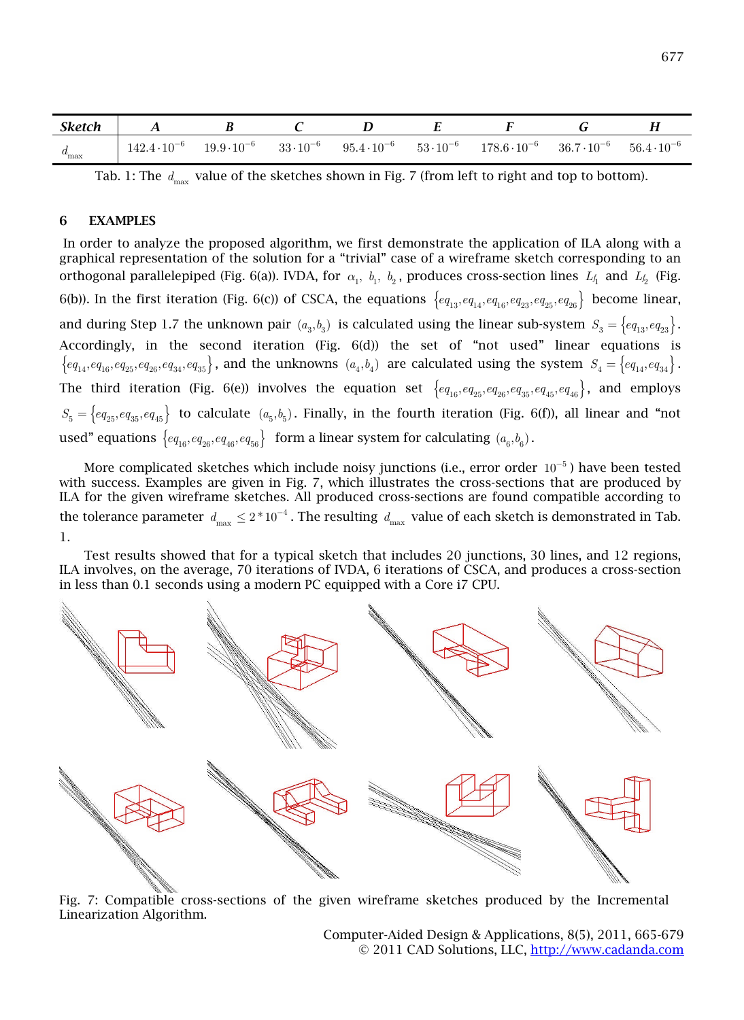| <b>Sketch</b> |                         |                                 |                    |                          |                    |                     |                    |                         |
|---------------|-------------------------|---------------------------------|--------------------|--------------------------|--------------------|---------------------|--------------------|-------------------------|
| $u_{\max}$    | $10^{-6}$<br>42.4<br>τC | $10^{-6}$<br>$\Omega$ .<br>19.9 | $33 \cdot 10^{-6}$ | 95.4.<br>$10^{-6}$<br>ΙU | $53 \cdot 10^{-6}$ | $178.6\cdot10^{-6}$ | $36.7\cdot10^{-6}$ | 56.4<br>$\cdot 10^{-6}$ |

Tab. 1: The  $d_{\max}$  value of the sketches shown in Fig. 7 (from left to right and top to bottom).

#### **6 EXAMPLES**

In order to analyze the proposed algorithm, we first demonstrate the application of ILA along with a graphical representation of the solution for a "trivial" case of a wireframe sketch corresponding to an orthogonal parallelepiped (Fig. 6(a)). IVDA, for  $\alpha_1$ ,  $b_1$ ,  $b_2$ , produces cross-section lines  $L_{f_1}$  and  $L_{f_2}$  (Fig. 6(b)). In the first iteration (Fig. 6(c)) of CSCA, the equations  $\{eq_{13}, eq_{14}, eq_{16}, eq_{23}, eq_{25}, eq_{26}\}$  become linear, and during Step 1.7 the unknown pair  $(a_3, b_3)$  is calculated using the linear sub-system  $S_3 = \{eq_{13}, eq_{23}\}\$ . Accordingly, in the second iteration (Fig. 6(d)) the set of "not used" linear equations is  $\{eq_{14}, eq_{16}, eq_{25}, eq_{26}, eq_{34}, eq_{35}\},$  and the unknowns  $(a_4, b_4)$  are calculated using the system  $S_4 = \{eq_{14}, eq_{34}\}.$ The third iteration (Fig. 6(e)) involves the equation set  $\{eq_{16}, eq_{25}, eq_{26}, eq_{35}, eq_{45}, eq_{46}\}\$ , and employs  $S_5 = \{eq_{25}, eq_{35}, eq_{45}\}\)$  to calculate  $(a_5, b_5)$ . Finally, in the fourth iteration (Fig. 6(f)), all linear and "not used" equations  $\{eq_{16}, eq_{26}, eq_{46}, eq_{56}\}$  form a linear system for calculating  $(a_6, b_6)$ .

More complicated sketches which include noisy junctions (i.e., error order  $\,10^{-5}$  ) have been tested with success. Examples are given in Fig. 7, which illustrates the cross-sections that are produced by ILA for the given wireframe sketches. All produced cross-sections are found compatible according to the tolerance parameter  $d_{\max} \leq 2^*10^{-4}$  . The resulting  $d_{\max}$  value of each sketch is demonstrated in Tab. 1.

Test results showed that for a typical sketch that includes 20 junctions, 30 lines, and 12 regions, ILA involves, on the average, 70 iterations of IVDA, 6 iterations of CSCA, and produces a cross-section in less than 0.1 seconds using a modern PC equipped with a Core i7 CPU.



Fig. 7: Compatible cross-sections of the given wireframe sketches produced by the Incremental Linearization Algorithm.

Computer-Aided Design & Applications, 8(5), 2011, 665-679 © 2011 CAD Solutions, LLC, http://www.cadanda.com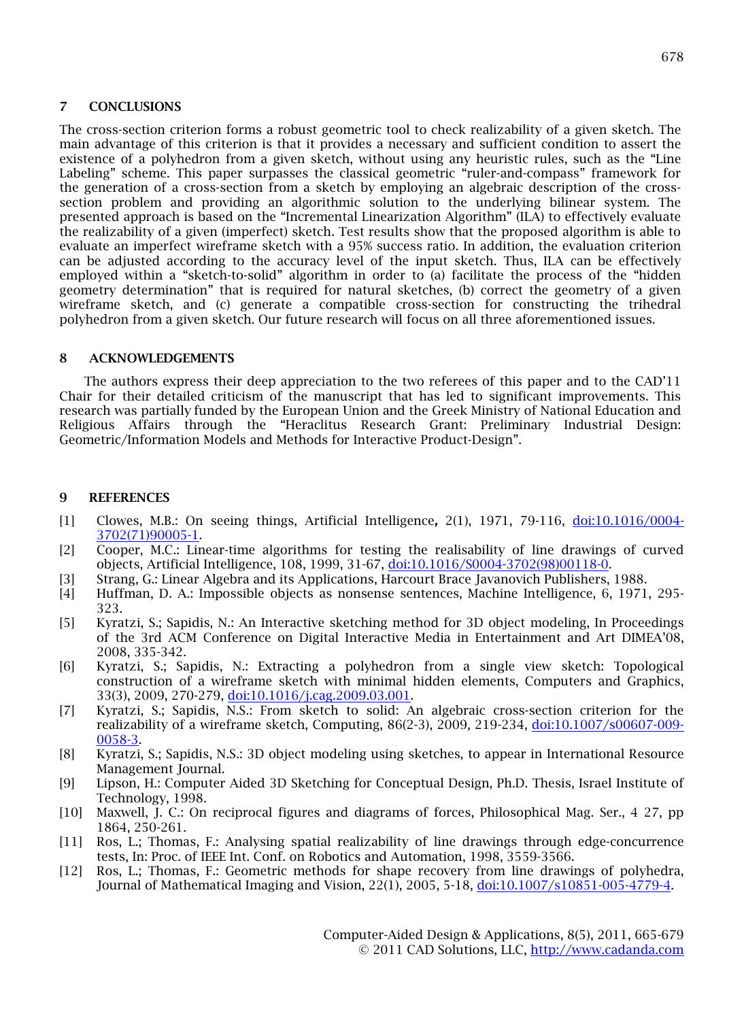# **7 CONCLUSIONS**

The cross-section criterion forms a robust geometric tool to check realizability of a given sketch. The main advantage of this criterion is that it provides a necessary and sufficient condition to assert the existence of a polyhedron from a given sketch, without using any heuristic rules, such as the "Line Labeling" scheme. This paper surpasses the classical geometric "ruler-and-compass" framework for the generation of a cross-section from a sketch by employing an algebraic description of the crosssection problem and providing an algorithmic solution to the underlying bilinear system. The presented approach is based on the "Incremental Linearization Algorithm" (ILA) to effectively evaluate the realizability of a given (imperfect) sketch. Test results show that the proposed algorithm is able to evaluate an imperfect wireframe sketch with a 95% success ratio. In addition, the evaluation criterion can be adjusted according to the accuracy level of the input sketch. Thus, ILA can be effectively employed within a "sketch-to-solid" algorithm in order to (a) facilitate the process of the "hidden geometry determination" that is required for natural sketches, (b) correct the geometry of a given wireframe sketch, and (c) generate a compatible cross-section for constructing the trihedral polyhedron from a given sketch. Our future research will focus on all three aforementioned issues.

# **8 ACKNOWLEDGEMENTS**

The authors express their deep appreciation to the two referees of this paper and to the CAD'11 Chair for their detailed criticism of the manuscript that has led to significant improvements. This research was partially funded by the European Union and the Greek Ministry of National Education and Religious Affairs through the "Heraclitus Research Grant: Preliminary Industrial Design: Geometric/Information Models and Methods for Interactive Product-Design".

# **9 REFERENCES**

- [1] Clowes, M.B.: On seeing things, Artificial Intelligence*,* 2(1), 1971, 79-116, doi:10.1016/0004- 3702(71)90005-1.
- [2] Cooper, M.C.: Linear-time algorithms for testing the realisability of line drawings of curved objects, Artificial Intelligence, 108, 1999, 31-67, doi:10.1016/S0004-3702(98)00118-0.
- [3] Strang, G.: Linear Algebra and its Applications, Harcourt Brace Javanovich Publishers, 1988.
- [4] Huffman, D. A.: Impossible objects as nonsense sentences, Machine Intelligence, 6, 1971, 295- 323.
- [5] Kyratzi, S.; Sapidis, N.: An Interactive sketching method for 3D object modeling, In Proceedings of the 3rd ACM Conference on Digital Interactive Media in Entertainment and Art DIMEA'08, 2008, 335-342.
- [6] Kyratzi, S.; Sapidis, N.: Extracting a polyhedron from a single view sketch: Topological construction of a wireframe sketch with minimal hidden elements, Computers and Graphics, 33(3), 2009, 270-279, doi:10.1016/j.cag.2009.03.001.
- [7] Kyratzi, S.; Sapidis, N.S.: From sketch to solid: An algebraic cross-section criterion for the realizability of a wireframe sketch, Computing, 86(2-3), 2009, 219-234, doi:10.1007/s00607-009- 0058-3.
- [8] Kyratzi, S.; Sapidis, N.S.: 3D object modeling using sketches, to appear in International Resource Management Journal.
- [9] Lipson, H.: Computer Aided 3D Sketching for Conceptual Design, Ph.D. Thesis, Israel Institute of Technology, 1998.
- [10] Maxwell, J. C.: On reciprocal figures and diagrams of forces, Philosophical Mag. Ser., 4 27, pp 1864, 250-261.
- [11] Ros, L.; Thomas, F.: Analysing spatial realizability of line drawings through edge-concurrence tests, In: Proc. of IEEE Int. Conf. on Robotics and Automation, 1998, 3559-3566.
- [12] Ros, L.; Thomas, F.: Geometric methods for shape recovery from line drawings of polyhedra, Journal of Mathematical Imaging and Vision, 22(1), 2005, 5-18, doi:10.1007/s10851-005-4779-4.